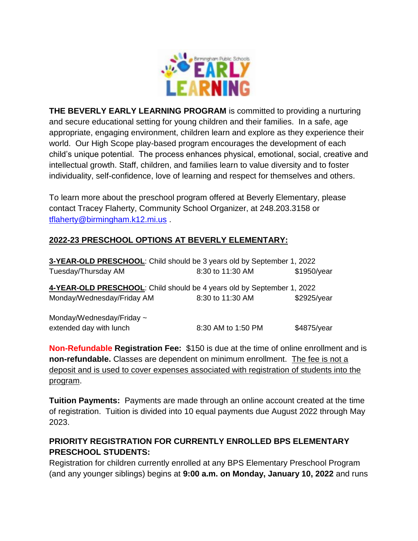

**THE BEVERLY EARLY LEARNING PROGRAM** is committed to providing a nurturing and secure educational setting for young children and their families. In a safe, age appropriate, engaging environment, children learn and explore as they experience their world. Our High Scope play-based program encourages the development of each child's unique potential. The process enhances physical, emotional, social, creative and intellectual growth. Staff, children, and families learn to value diversity and to foster individuality, self-confidence, love of learning and respect for themselves and others.

To learn more about the preschool program offered at Beverly Elementary, please contact Tracey Flaherty, Community School Organizer, at 248.203.3158 or [tflaherty@birmingham.k12.mi.us](mailto:tflaherty@birmingham.k12.mi.us) .

## **2022-23 PRESCHOOL OPTIONS AT BEVERLY ELEMENTARY:**

| 3-YEAR-OLD PRESCHOOL: Child should be 3 years old by September 1, 2022 |                    |             |
|------------------------------------------------------------------------|--------------------|-------------|
| Tuesday/Thursday AM                                                    | 8:30 to 11:30 AM   | \$1950/year |
| 4-YEAR-OLD PRESCHOOL: Child should be 4 years old by September 1, 2022 |                    |             |
| Monday/Wednesday/Friday AM                                             | 8:30 to 11:30 AM   | \$2925/year |
| Monday/Wednesday/Friday $\sim$<br>extended day with lunch              | 8:30 AM to 1:50 PM | \$4875/year |

**Non-Refundable Registration Fee:** \$150 is due at the time of online enrollment and is **non-refundable.** Classes are dependent on minimum enrollment. The fee is not a deposit and is used to cover expenses associated with registration of students into the program.

**Tuition Payments:** Payments are made through an online account created at the time of registration. Tuition is divided into 10 equal payments due August 2022 through May 2023.

# **PRIORITY REGISTRATION FOR CURRENTLY ENROLLED BPS ELEMENTARY PRESCHOOL STUDENTS:**

Registration for children currently enrolled at any BPS Elementary Preschool Program (and any younger siblings) begins at **9:00 a.m. on Monday, January 10, 2022** and runs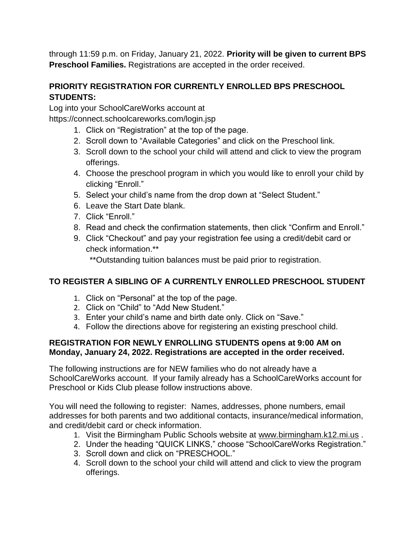through 11:59 p.m. on Friday, January 21, 2022. **Priority will be given to current BPS Preschool Families.** Registrations are accepted in the order received.

# **PRIORITY REGISTRATION FOR CURRENTLY ENROLLED BPS PRESCHOOL STUDENTS:**

Log into your SchoolCareWorks account at

https://connect.schoolcareworks.com/login.jsp

- 1. Click on "Registration" at the top of the page.
- 2. Scroll down to "Available Categories" and click on the Preschool link.
- 3. Scroll down to the school your child will attend and click to view the program offerings.
- 4. Choose the preschool program in which you would like to enroll your child by clicking "Enroll."
- 5. Select your child's name from the drop down at "Select Student."
- 6. Leave the Start Date blank.
- 7. Click "Enroll."
- 8. Read and check the confirmation statements, then click "Confirm and Enroll."
- 9. Click "Checkout" and pay your registration fee using a credit/debit card or check information.\*\*

\*\*Outstanding tuition balances must be paid prior to registration.

# **TO REGISTER A SIBLING OF A CURRENTLY ENROLLED PRESCHOOL STUDENT**

- 1. Click on "Personal" at the top of the page.
- 2. Click on "Child" to "Add New Student."
- 3. Enter your child's name and birth date only. Click on "Save."
- 4. Follow the directions above for registering an existing preschool child.

## **REGISTRATION FOR NEWLY ENROLLING STUDENTS opens at 9:00 AM on Monday, January 24, 2022. Registrations are accepted in the order received.**

The following instructions are for NEW families who do not already have a SchoolCareWorks account. If your family already has a SchoolCareWorks account for Preschool or Kids Club please follow instructions above.

You will need the following to register: Names, addresses, phone numbers, email addresses for both parents and two additional contacts, insurance/medical information, and credit/debit card or check information.

- 1. Visit the Birmingham Public Schools website at [www.birmingham.k12.mi.us](http://www.birmingham.k12.mi.us/) .
- 2. Under the heading "QUICK LINKS," choose "SchoolCareWorks Registration."
- 3. Scroll down and click on "PRESCHOOL."
- 4. Scroll down to the school your child will attend and click to view the program offerings.